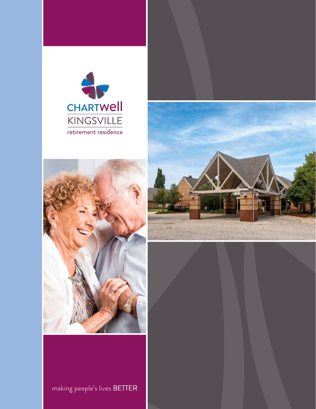





## making people's lives BETTER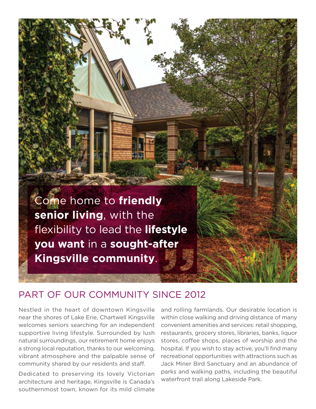

## PART OF OUR COMMUNITY SINCE 2012

Nestled in the heart of downtown Kingsville near the shores of Lake Erie, Chartwell Kingsville welcomes seniors searching for an independent supportive living lifestyle. Surrounded by lush natural surroundings, our retirement home enjoys a strong local reputation, thanks to our welcoming, vibrant atmosphere and the palpable sense of community shared by our residents and staff.

Dedicated to preserving its lovely Victorian architecture and heritage, Kingsville is Canada's southernmost town, known for its mild climate

and rolling farmlands. Our desirable location is within close walking and driving distance of many convenient amenities and services: retail shopping, restaurants, grocery stores, libraries, banks, liquor stores, coffee shops, places of worship and the hospital. If you wish to stay active, you'll find many recreational opportunities with attractions such as Jack Miner Bird Sanctuary and an abundance of parks and walking paths, including the beautiful waterfront trail along Lakeside Park.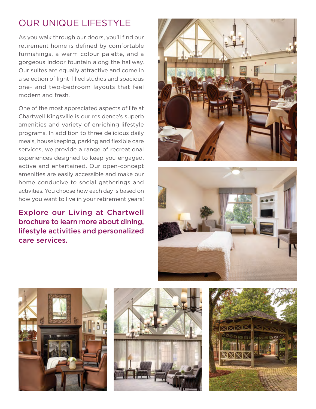# OUR UNIQUE LIFESTYLE

As you walk through our doors, you'll find our retirement home is defined by comfortable furnishings, a warm colour palette, and a gorgeous indoor fountain along the hallway. Our suites are equally attractive and come in a selection of light-flled studios and spacious one- and two-bedroom layouts that feel modern and fresh.

One of the most appreciated aspects of life at Chartwell Kingsville is our residence's superb amenities and variety of enriching lifestyle programs. In addition to three delicious daily meals, housekeeping, parking and flexible care services, we provide a range of recreational experiences designed to keep you engaged, active and entertained. Our open-concept amenities are easily accessible and make our home conducive to social gatherings and activities. You choose how each day is based on how you want to live in your retirement years!

Explore our Living at Chartwell brochure to learn more about dining, lifestyle activities and personalized care services.









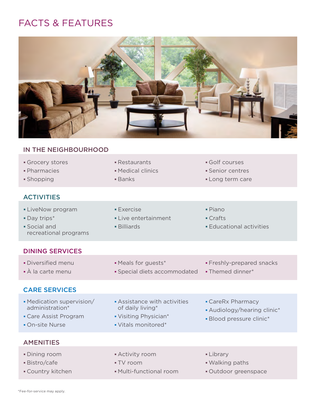# FACTS & FEATURES



### IN THE NEIGHBOURHOOD

| Grocery stores    | • Restaurants        |
|-------------------|----------------------|
| • Pharmacies      | • Medical clinics    |
| • Shopping        | $\blacksquare$ Banks |
| <i>ACTIVITIES</i> |                      |

- Golf courses
- **Senior centres**
- Long term care

#### ACTIVITIES

- LiveNow program **Exercise** Exercise Piano
- **Day trips\*** Crafts **Day trips\* Live entertainment Crafts**
- Social and Billiards Educational activities recreational programs

#### DINING SERVICES

- 
- 

- À la carte menu Special diets accommodated Themed dinner\*
- Diversified menu  **Meals for guests\*** Freshly-prepared snacks
	-

#### CARE SERVICES

- Medication supervision/ Assistance with activities CareRx Pharmacy
- 
- 
- 
- 
- 
- $\bullet$  Vitals monitored\*
- 
- of daily living\* **and all and accord Audiology/hearing clinic\***<br>• Visiting Physician\* **and a Blood pressure clinic\***
- Care Assist Program Visiting Physician\* Blood pressure clinic Vitals monitored Plood pressure clinic •

#### AMENITIES

- Dining room **Activity room Activity room Library**
- 
- 
- 
- 
- Country kitchen Multi-functional room Outdoor greenspace
- 
- 
- Bistro/cafe **Walking paths** TV room TV room Walking paths
	-